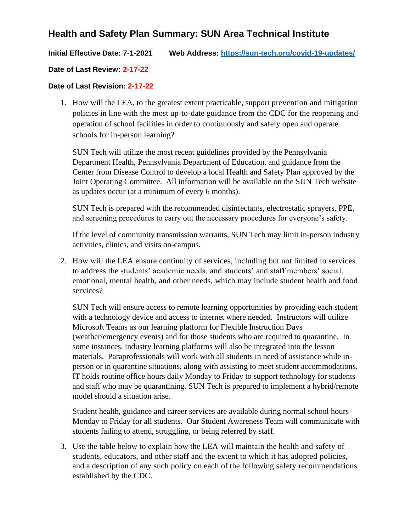# **Health and Safety Plan Summary: SUN Area Technical Institute**

### **Initial Effective Date: 7-1-2021 Web Address: <https://sun-tech.org/covid-19-updates/>**

### **Date of Last Review: 2-17-22**

### **Date of Last Revision: 2-17-22**

1. How will the LEA, to the greatest extent practicable, support prevention and mitigation policies in line with the most up-to-date guidance from the CDC for the reopening and operation of school facilities in order to continuously and safely open and operate schools for in-person learning?

SUN Tech will utilize the most recent guidelines provided by the Pennsylvania Department Health, Pennsylvania Department of Education, and guidance from the Center from Disease Control to develop a local Health and Safety Plan approved by the Joint Operating Committee. All information will be available on the SUN Tech website as updates occur (at a minimum of every 6 months).

SUN Tech is prepared with the recommended disinfectants, electrostatic sprayers, PPE, and screening procedures to carry out the necessary procedures for everyone's safety.

If the level of community transmission warrants, SUN Tech may limit in-person industry activities, clinics, and visits on-campus.

2. How will the LEA ensure continuity of services, including but not limited to services to address the students' academic needs, and students' and staff members' social, emotional, mental health, and other needs, which may include student health and food services?

SUN Tech will ensure access to remote learning opportunities by providing each student with a technology device and access to internet where needed. Instructors will utilize Microsoft Teams as our learning platform for Flexible Instruction Days (weather/emergency events) and for those students who are required to quarantine. In some instances, industry learning platforms will also be integrated into the lesson materials. Paraprofessionals will work with all students in need of assistance while inperson or in quarantine situations, along with assisting to meet student accommodations. IT holds routine office hours daily Monday to Friday to support technology for students and staff who may be quarantining. SUN Tech is prepared to implement a hybrid/remote model should a situation arise.

Student health, guidance and career services are available during normal school hours Monday to Friday for all students. Our Student Awareness Team will communicate with students failing to attend, struggling, or being referred by staff.

3. Use the table below to explain how the LEA will maintain the health and safety of students, educators, and other staff and the extent to which it has adopted policies, and a description of any such policy on each of the following safety recommendations established by the CDC.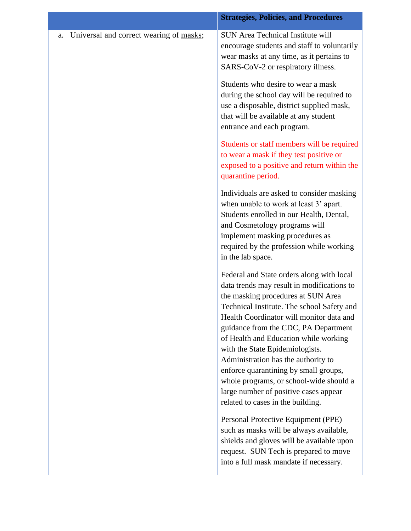|                                               | <b>Strategies, Policies, and Procedures</b>                                                                                                                                                                                                                                                                                                                                                                                                                                                                                                          |
|-----------------------------------------------|------------------------------------------------------------------------------------------------------------------------------------------------------------------------------------------------------------------------------------------------------------------------------------------------------------------------------------------------------------------------------------------------------------------------------------------------------------------------------------------------------------------------------------------------------|
| Universal and correct wearing of masks;<br>a. | <b>SUN Area Technical Institute will</b><br>encourage students and staff to voluntarily<br>wear masks at any time, as it pertains to<br>SARS-CoV-2 or respiratory illness.                                                                                                                                                                                                                                                                                                                                                                           |
|                                               | Students who desire to wear a mask<br>during the school day will be required to<br>use a disposable, district supplied mask,<br>that will be available at any student<br>entrance and each program.                                                                                                                                                                                                                                                                                                                                                  |
|                                               | Students or staff members will be required<br>to wear a mask if they test positive or<br>exposed to a positive and return within the<br>quarantine period.                                                                                                                                                                                                                                                                                                                                                                                           |
|                                               | Individuals are asked to consider masking<br>when unable to work at least 3' apart.<br>Students enrolled in our Health, Dental,<br>and Cosmetology programs will<br>implement masking procedures as<br>required by the profession while working<br>in the lab space.                                                                                                                                                                                                                                                                                 |
|                                               | Federal and State orders along with local<br>data trends may result in modifications to<br>the masking procedures at SUN Area<br>Technical Institute. The school Safety and<br>Health Coordinator will monitor data and<br>guidance from the CDC, PA Department<br>of Health and Education while working<br>with the State Epidemiologists.<br>Administration has the authority to<br>enforce quarantining by small groups,<br>whole programs, or school-wide should a<br>large number of positive cases appear<br>related to cases in the building. |
|                                               | Personal Protective Equipment (PPE)<br>such as masks will be always available,<br>shields and gloves will be available upon<br>request. SUN Tech is prepared to move<br>into a full mask mandate if necessary.                                                                                                                                                                                                                                                                                                                                       |
|                                               |                                                                                                                                                                                                                                                                                                                                                                                                                                                                                                                                                      |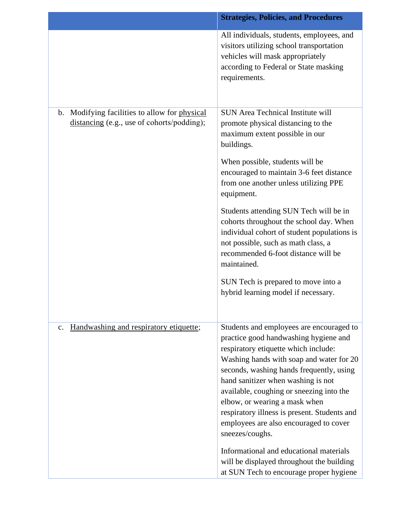|                                                                                             | <b>Strategies, Policies, and Procedures</b>                                                                                                                                                                                                                                                                                                                                                                                                                                                                                                                                          |
|---------------------------------------------------------------------------------------------|--------------------------------------------------------------------------------------------------------------------------------------------------------------------------------------------------------------------------------------------------------------------------------------------------------------------------------------------------------------------------------------------------------------------------------------------------------------------------------------------------------------------------------------------------------------------------------------|
|                                                                                             | All individuals, students, employees, and<br>visitors utilizing school transportation<br>vehicles will mask appropriately<br>according to Federal or State masking<br>requirements.                                                                                                                                                                                                                                                                                                                                                                                                  |
| b. Modifying facilities to allow for physical<br>distancing (e.g., use of cohorts/podding); | <b>SUN Area Technical Institute will</b><br>promote physical distancing to the<br>maximum extent possible in our<br>buildings.<br>When possible, students will be<br>encouraged to maintain 3-6 feet distance<br>from one another unless utilizing PPE<br>equipment.<br>Students attending SUN Tech will be in<br>cohorts throughout the school day. When<br>individual cohort of student populations is<br>not possible, such as math class, a<br>recommended 6-foot distance will be<br>maintained.<br>SUN Tech is prepared to move into a<br>hybrid learning model if necessary.  |
| Handwashing and respiratory etiquette;<br>$\mathbf{c}$ .                                    | Students and employees are encouraged to<br>practice good handwashing hygiene and<br>respiratory etiquette which include:<br>Washing hands with soap and water for 20<br>seconds, washing hands frequently, using<br>hand sanitizer when washing is not<br>available, coughing or sneezing into the<br>elbow, or wearing a mask when<br>respiratory illness is present. Students and<br>employees are also encouraged to cover<br>sneezes/coughs.<br>Informational and educational materials<br>will be displayed throughout the building<br>at SUN Tech to encourage proper hygiene |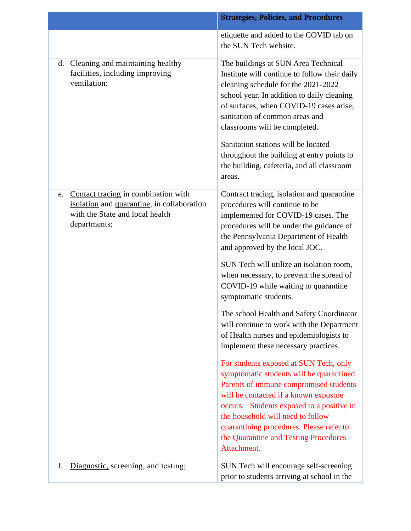|                                                                                                                                            | <b>Strategies, Policies, and Procedures</b>                                                                                                                                                                                                                                                                                                                                                                                          |
|--------------------------------------------------------------------------------------------------------------------------------------------|--------------------------------------------------------------------------------------------------------------------------------------------------------------------------------------------------------------------------------------------------------------------------------------------------------------------------------------------------------------------------------------------------------------------------------------|
|                                                                                                                                            | etiquette and added to the COVID tab on<br>the SUN Tech website.                                                                                                                                                                                                                                                                                                                                                                     |
| d. Cleaning and maintaining healthy<br>facilities, including improving<br>ventilation;                                                     | The buildings at SUN Area Technical<br>Institute will continue to follow their daily<br>cleaning schedule for the 2021-2022<br>school year. In addition to daily cleaning<br>of surfaces, when COVID-19 cases arise,<br>sanitation of common areas and<br>classrooms will be completed.<br>Sanitation stations will be located<br>throughout the building at entry points to<br>the building, cafeteria, and all classroom<br>areas. |
| Contact tracing in combination with<br>e.<br>isolation and quarantine, in collaboration<br>with the State and local health<br>departments; | Contract tracing, isolation and quarantine<br>procedures will continue to be<br>implemented for COVID-19 cases. The<br>procedures will be under the guidance of<br>the Pennsylvania Department of Health<br>and approved by the local JOC.                                                                                                                                                                                           |
|                                                                                                                                            | SUN Tech will utilize an isolation room,<br>when necessary, to prevent the spread of<br>COVID-19 while waiting to quarantine<br>symptomatic students.                                                                                                                                                                                                                                                                                |
|                                                                                                                                            | The school Health and Safety Coordinator<br>will continue to work with the Department<br>of Health nurses and epidemiologists to<br>implement these necessary practices.                                                                                                                                                                                                                                                             |
|                                                                                                                                            | For students exposed at SUN Tech, only<br>symptomatic students will be quarantined.<br>Parents of immune compromised students<br>will be contacted if a known exposure<br>occurs. Students exposed to a positive in<br>the household will need to follow<br>quarantining procedures. Please refer to<br>the Quarantine and Testing Procedures<br>Attachment.                                                                         |
| Diagnostic, screening, and testing;<br>f.                                                                                                  | SUN Tech will encourage self-screening<br>prior to students arriving at school in the                                                                                                                                                                                                                                                                                                                                                |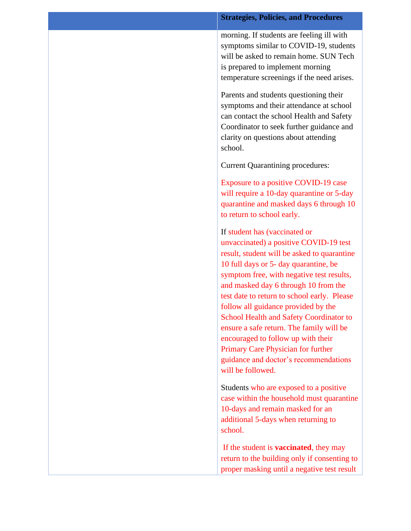#### **Strategies, Policies, and Procedures**

morning. If students are feeling ill with symptoms similar to COVID-19, students will be asked to remain home. SUN Tech is prepared to implement morning temperature screenings if the need arises.

Parents and students questioning their symptoms and their attendance at school can contact the school Health and Safety Coordinator to seek further guidance and clarity on questions about attending school.

Current Quarantining procedures:

Exposure to a positive COVID-19 case will require a 10-day quarantine or 5-day quarantine and masked days 6 through 10 to return to school early.

If student has (vaccinated or unvaccinated) a positive COVID-19 test result, student will be asked to quarantine 10 full days or 5- day quarantine, be symptom free, with negative test results, and masked day 6 through 10 from the test date to return to school early. Please follow all guidance provided by the School Health and Safety Coordinator to ensure a safe return. The family will be encouraged to follow up with their Primary Care Physician for further guidance and doctor's recommendations will be followed.

Students who are exposed to a positive case within the household must quarantine 10-days and remain masked for an additional 5-days when returning to school.

If the student is **vaccinated**, they may return to the building only if consenting to proper masking until a negative test result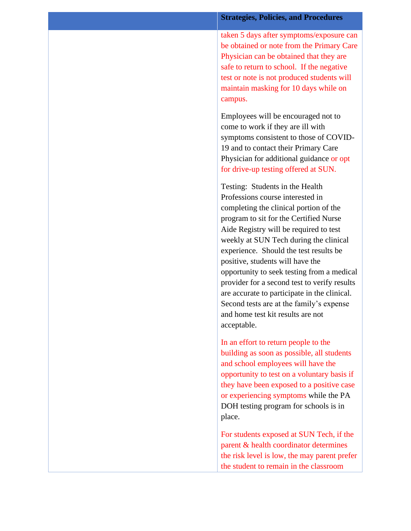taken 5 days after symptoms/exposure can be obtained or note from the Primary Care Physician can be obtained that they are safe to return to school. If the negative test or note is not produced students will maintain masking for 10 days while on campus.

Employees will be encouraged not to come to work if they are ill with symptoms consistent to those of COVID-19 and to contact their Primary Care Physician for additional guidance or opt for drive-up testing offered at SUN.

Testing: Students in the Health Professions course interested in completing the clinical portion of the program to sit for the Certified Nurse Aide Registry will be required to test weekly at SUN Tech during the clinical experience. Should the test results be positive, students will have the opportunity to seek testing from a medical provider for a second test to verify results are accurate to participate in the clinical. Second tests are at the family's expense and home test kit results are not acceptable.

In an effort to return people to the building as soon as possible, all students and school employees will have the opportunity to test on a voluntary basis if they have been exposed to a positive case or experiencing symptoms while the PA DOH testing program for schools is in place.

For students exposed at SUN Tech, if the parent & health coordinator determines the risk level is low, the may parent prefer the student to remain in the classroom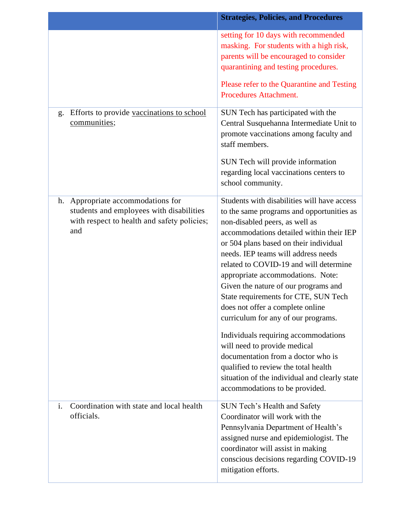|                                                                                                                                        | <b>Strategies, Policies, and Procedures</b>                                                                                                                                                                                                                                                                                                                                                                                                                                                                                                                                                                                                             |
|----------------------------------------------------------------------------------------------------------------------------------------|---------------------------------------------------------------------------------------------------------------------------------------------------------------------------------------------------------------------------------------------------------------------------------------------------------------------------------------------------------------------------------------------------------------------------------------------------------------------------------------------------------------------------------------------------------------------------------------------------------------------------------------------------------|
|                                                                                                                                        | setting for 10 days with recommended<br>masking. For students with a high risk,<br>parents will be encouraged to consider<br>quarantining and testing procedures.                                                                                                                                                                                                                                                                                                                                                                                                                                                                                       |
|                                                                                                                                        | Please refer to the Quarantine and Testing<br><b>Procedures Attachment.</b>                                                                                                                                                                                                                                                                                                                                                                                                                                                                                                                                                                             |
| Efforts to provide vaccinations to school<br>g.<br>communities;                                                                        | SUN Tech has participated with the<br>Central Susquehanna Intermediate Unit to<br>promote vaccinations among faculty and<br>staff members.<br>SUN Tech will provide information<br>regarding local vaccinations centers to<br>school community.                                                                                                                                                                                                                                                                                                                                                                                                         |
| Appropriate accommodations for<br>h.<br>students and employees with disabilities<br>with respect to health and safety policies;<br>and | Students with disabilities will have access<br>to the same programs and opportunities as<br>non-disabled peers, as well as<br>accommodations detailed within their IEP<br>or 504 plans based on their individual<br>needs. IEP teams will address needs<br>related to COVID-19 and will determine<br>appropriate accommodations. Note:<br>Given the nature of our programs and<br>State requirements for CTE, SUN Tech<br>does not offer a complete online<br>curriculum for any of our programs.<br>Individuals requiring accommodations<br>will need to provide medical<br>documentation from a doctor who is<br>qualified to review the total health |
|                                                                                                                                        | situation of the individual and clearly state<br>accommodations to be provided.                                                                                                                                                                                                                                                                                                                                                                                                                                                                                                                                                                         |
| Coordination with state and local health<br>i.<br>officials.                                                                           | SUN Tech's Health and Safety<br>Coordinator will work with the<br>Pennsylvania Department of Health's<br>assigned nurse and epidemiologist. The<br>coordinator will assist in making<br>conscious decisions regarding COVID-19<br>mitigation efforts.                                                                                                                                                                                                                                                                                                                                                                                                   |